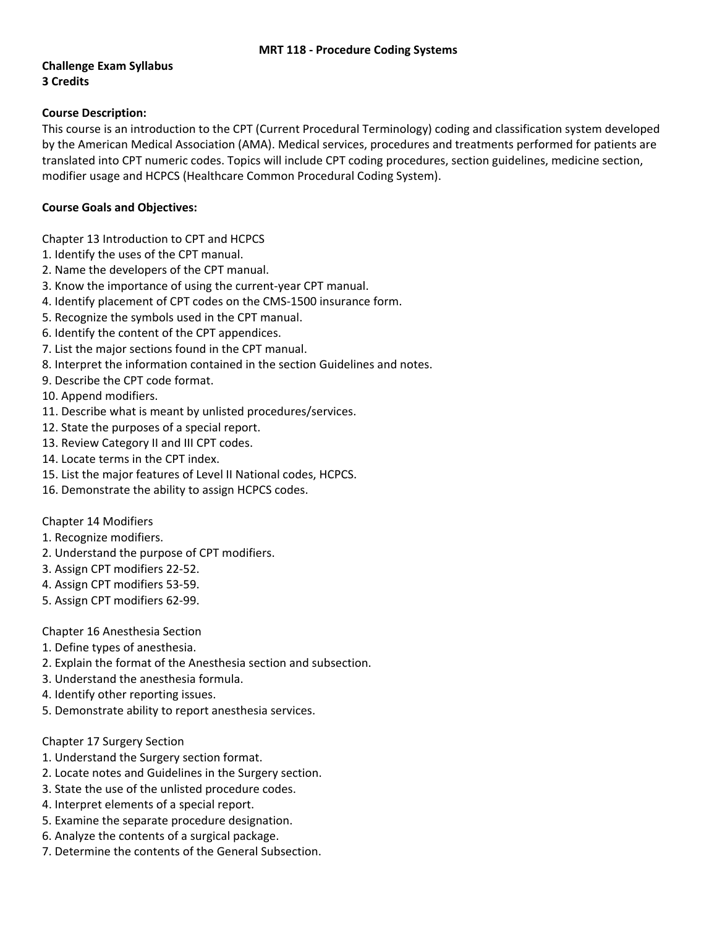## **Challenge Exam Syllabus 3 Credits**

## **Course Description:**

This course is an introduction to the CPT (Current Procedural Terminology) coding and classification system developed by the American Medical Association (AMA). Medical services, procedures and treatments performed for patients are translated into CPT numeric codes. Topics will include CPT coding procedures, section guidelines, medicine section, modifier usage and HCPCS (Healthcare Common Procedural Coding System).

## **Course Goals and Objectives:**

Chapter 13 Introduction to CPT and HCPCS

- 1. Identify the uses of the CPT manual.
- 2. Name the developers of the CPT manual.
- 3. Know the importance of using the current‐year CPT manual.
- 4. Identify placement of CPT codes on the CMS‐1500 insurance form.
- 5. Recognize the symbols used in the CPT manual.
- 6. Identify the content of the CPT appendices.
- 7. List the major sections found in the CPT manual.
- 8. Interpret the information contained in the section Guidelines and notes.
- 9. Describe the CPT code format.
- 10. Append modifiers.
- 11. Describe what is meant by unlisted procedures/services.
- 12. State the purposes of a special report.
- 13. Review Category II and III CPT codes.
- 14. Locate terms in the CPT index.
- 15. List the major features of Level II National codes, HCPCS.
- 16. Demonstrate the ability to assign HCPCS codes.
- Chapter 14 Modifiers
- 1. Recognize modifiers.
- 2. Understand the purpose of CPT modifiers.
- 3. Assign CPT modifiers 22‐52.
- 4. Assign CPT modifiers 53‐59.
- 5. Assign CPT modifiers 62‐99.

Chapter 16 Anesthesia Section

- 1. Define types of anesthesia.
- 2. Explain the format of the Anesthesia section and subsection.
- 3. Understand the anesthesia formula.
- 4. Identify other reporting issues.
- 5. Demonstrate ability to report anesthesia services.

Chapter 17 Surgery Section

- 1. Understand the Surgery section format.
- 2. Locate notes and Guidelines in the Surgery section.
- 3. State the use of the unlisted procedure codes.
- 4. Interpret elements of a special report.
- 5. Examine the separate procedure designation.
- 6. Analyze the contents of a surgical package.
- 7. Determine the contents of the General Subsection.